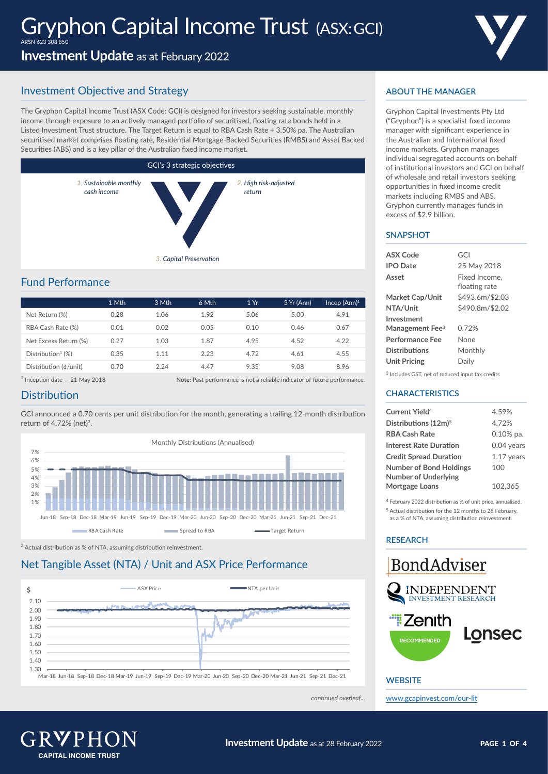**Investment Update** as at February 2022

# Investment Objective and Strategy

The Gryphon Capital Income Trust (ASX Code: GCI) is designed for investors seeking sustainable, monthly income through exposure to an actively managed portfolio of securitised, floating rate bonds held in a Listed Investment Trust structure. The Target Return is equal to RBA Cash Rate + 3.50% pa. The Australian securitised market comprises floating rate, Residential Mortgage-Backed Securities (RMBS) and Asset Backed Securities (ABS) and is a key pillar of the Australian fixed income market.



# Fund Performance

|                               | 1 Mth | 3 Mth | 6 Mth | 1Yr  | 3 Yr (Ann) | Incep (Ann) <sup>1</sup> |
|-------------------------------|-------|-------|-------|------|------------|--------------------------|
| Net Return (%)                | 0.28  | 1.06  | 1.92  | 5.06 | 5.00       | 4.91                     |
| RBA Cash Rate (%)             | 0.01  | 0.02  | 0.05  | 0.10 | 0.46       | 0.67                     |
| Net Excess Return (%)         | 0.27  | 1.03  | 1.87  | 4.95 | 4.52       | 4.22                     |
| Distribution <sup>1</sup> (%) | 0.35  | 1.11  | 2.23  | 4.72 | 4.61       | 4.55                     |
| Distribution (¢/unit)         | 0.70  | 2.24  | 4.47  | 9.35 | 9.08       | 8.96                     |

1 Inception date — 21 May 2018 **Note:** Past performance is not a reliable indicator of future performance.

## **Distribution**

GCI announced a 0.70 cents per unit distribution for the month, generating a trailing 12-month distribution return of 4.72% (net)<sup>2</sup>.



2 Actual distribution as % of NTA, assuming distribution reinvestment.

## Net Tangible Asset (NTA) / Unit and ASX Price Performance



Mar-18 Jun-18 Sep-18 Dec-18 Mar-19 Jun-19 Sep-19 Dec-19 Mar-20 Jun-20 Sep-20 Dec-20 Mar-21 Jun-21 Sep-21 Dec-21

*continued overleaf...*



Gryphon Capital Investments Pty Ltd ("Gryphon") is a specialist fixed income manager with significant experience in the Australian and International fixed income markets. Gryphon manages individual segregated accounts on behalf of institutional investors and GCI on behalf of wholesale and retail investors seeking opportunities in fixed income credit markets including RMBS and ABS. Gryphon currently manages funds in excess of \$2.9 billion.

#### **SNAPSHOT**

| <b>ASX Code</b>           | GCI                            |
|---------------------------|--------------------------------|
| <b>IPO</b> Date           | 25 May 2018                    |
| Asset                     | Fixed Income.<br>floating rate |
| Market Cap/Unit           | \$493.6m/\$2.03                |
| NTA/Unit                  | \$490.8m/\$2.02                |
| Investment                |                                |
| Management Fee $^{\rm 3}$ | 0.72%                          |
| Performance Fee           | None                           |
| Distributions             | Monthlv                        |
| <b>Unit Pricing</b>       | Daily                          |
|                           |                                |

3 Includes GST, net of reduced input tax credits

### **CHARACTERISTICS**

| Current Yield <sup>4</sup>       | 4.59%        |
|----------------------------------|--------------|
| Distributions (12m) <sup>5</sup> | 4.72%        |
| <b>RBA Cash Rate</b>             | $0.10\%$ pa. |
| Interest Rate Duration           | 0.04 years   |
| <b>Credit Spread Duration</b>    | $1.17$ vears |
| <b>Number of Bond Holdings</b>   | 100          |
| <b>Number of Underlying</b>      |              |
| Mortgage Loans                   | 102.365      |
|                                  |              |

4 February 2022 distribution as % of unit price, annualised. 5 Actual distribution for the 12 months to 28 February,

as a % of NTA, assuming distribution reinvestment.

## **RESEARCH**



## **WEBSITE**

[www.gcapinvest.com/o](http://www.gcapinvest.com/our-lit)ur-lit

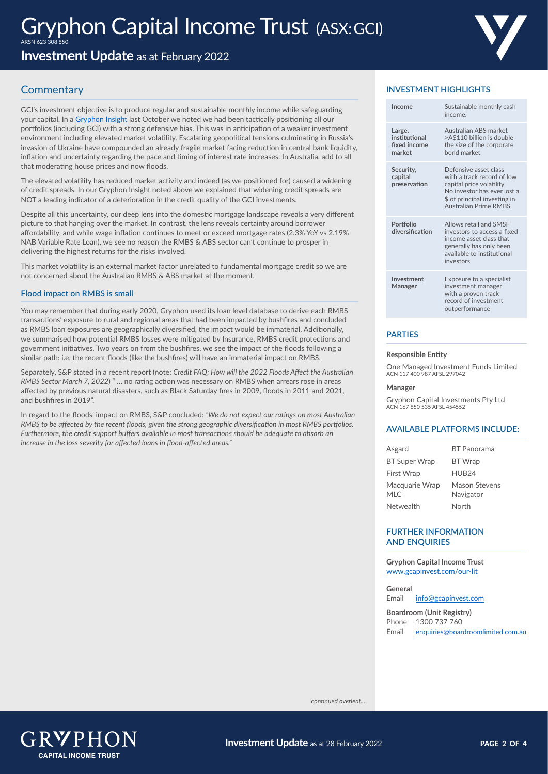**Investment Update** as at February 2022

# **Commentary**

GCI's investment objective is to produce regular and sustainable monthly income while safeguarding your capital. In a [Gryphon Insight](https://gcapinvest.com/cmsb/uploads/gryphon-insights-rmbs-spread-widening-oct-2021-final.pdf) last October we noted we had been tactically positioning all our portfolios (including GCI) with a strong defensive bias. This was in anticipation of a weaker investment environment including elevated market volatility. Escalating geopolitical tensions culminating in Russia's invasion of Ukraine have compounded an already fragile market facing reduction in central bank liquidity, inflation and uncertainty regarding the pace and timing of interest rate increases. In Australia, add to all that moderating house prices and now floods.

The elevated volatility has reduced market activity and indeed (as we positioned for) caused a widening of credit spreads. In our Gryphon Insight noted above we explained that widening credit spreads are NOT a leading indicator of a deterioration in the credit quality of the GCI investments.

Despite all this uncertainty, our deep lens into the domestic mortgage landscape reveals a very different picture to that hanging over the market. In contrast, the lens reveals certainty around borrower affordability, and while wage inflation continues to meet or exceed mortgage rates (2.3% YoY vs 2.19% NAB Variable Rate Loan), we see no reason the RMBS & ABS sector can't continue to prosper in delivering the highest returns for the risks involved.

This market volatility is an external market factor unrelated to fundamental mortgage credit so we are not concerned about the Australian RMBS & ABS market at the moment.

#### **Flood impact on RMBS is small**

You may remember that during early 2020, Gryphon used its loan level database to derive each RMBS transactions' exposure to rural and regional areas that had been impacted by bushfires and concluded as RMBS loan exposures are geographically diversified, the impact would be immaterial. Additionally, we summarised how potential RMBS losses were mitigated by Insurance, RMBS credit protections and government initiatives. Two years on from the bushfires, we see the impact of the floods following a similar path: i.e. the recent floods (like the bushfires) will have an immaterial impact on RMBS.

Separately, S&P stated in a recent report (note: *Credit FAQ; How will the 2022 Floods Affect the Australian RMBS Sector March 7, 2022*) " … no rating action was necessary on RMBS when arrears rose in areas affected by previous natural disasters, such as Black Saturday fires in 2009, floods in 2011 and 2021, and bushfires in 2019".

In regard to the floods' impact on RMBS, S&P concluded: *"We do not expect our ratings on most Australian RMBS to be affected by the recent floods, given the strong geographic diversification in most RMBS portfolios. Furthermore, the credit support buffers available in most transactions should be adequate to absorb an increase in the loss severity for affected loans in flood-affected areas."*

## **INVESTMENT HIGHLIGHTS**

| Income                                            | Sustainable monthly cash<br>income.                                                                                                                                            |
|---------------------------------------------------|--------------------------------------------------------------------------------------------------------------------------------------------------------------------------------|
| Large,<br>institutional<br>fixed income<br>market | Australian ABS market<br>>A\$110 billion is double<br>the size of the corporate<br>hond market                                                                                 |
| Security,<br>capital<br>preservation              | Defensive asset class<br>with a track record of low<br>capital price volatility<br>No investor has ever lost a<br>\$ of principal investing in<br><b>Australian Prime RMBS</b> |
| Portfolio<br>diversification                      | Allows retail and SMSF<br>investors to access a fixed<br>income asset class that<br>generally has only been<br>available to institutional<br>investors                         |
| Investment<br>Manager                             | Exposure to a specialist<br>investment manager<br>with a proven track<br>record of investment<br>outperformance                                                                |

### **PARTIES**

#### **Responsible Entity**

One Managed Investment Funds Limited ACN 117 400 987 AFSL 297042

#### **Manager**

Gryphon Capital Investments Pty Ltd ACN 167 850 535 AFSL 454552

#### **AVAILABLE PLATFORMS INCLUDE:**

| Asgard                       | <b>BT</b> Panorama                |
|------------------------------|-----------------------------------|
| <b>BT Super Wrap</b>         | <b>BT</b> Wrap                    |
| <b>First Wrap</b>            | HUB <sub>24</sub>                 |
| Macquarie Wrap<br><b>MLC</b> | <b>Mason Stevens</b><br>Navigator |
| Netwealth                    | North                             |

#### **FURTHER INFORMATION AND ENQUIRIES**

**Gryphon Capital Income Trust** [www.gcapinvest.com/o](http://www.gcapinvest.com/our-lit)ur-lit

**General** Email [info@gcapinvest.com](mailto:info%40gcapinvest.com?subject=)

**Boardroom (Unit Registry)** Phone 1300 737 760 Email [enquiries@boardroomlimited.com.au](mailto:enquiries%40boardroomlimited.com.au%20?subject=)

*continued overleaf...*

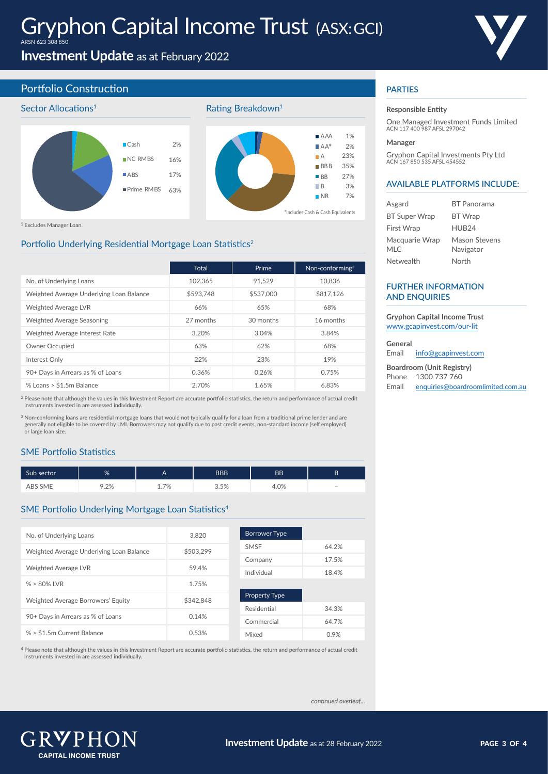

**Investment Update** as at February 2022

## Portfolio Construction







Rating Breakdown<sup>1</sup>

1 Excludes Manager Loan.

## Portfolio Underlying Residential Mortgage Loan Statistics<sup>2</sup>

|                                          | <b>Total</b> | Prime     | Non-conforming <sup>3</sup> |
|------------------------------------------|--------------|-----------|-----------------------------|
| No. of Underlying Loans                  | 102.365      | 91.529    | 10.836                      |
| Weighted Average Underlying Loan Balance | \$593.748    | \$537,000 | \$817.126                   |
| <b>Weighted Average LVR</b>              | 66%          | 65%       | 68%                         |
| Weighted Average Seasoning               | 27 months    | 30 months | 16 months                   |
| Weighted Average Interest Rate           | 3.20%        | 3.04%     | 3.84%                       |
| Owner Occupied                           | 63%          | 62%       | 68%                         |
| Interest Only                            | 22%          | 23%       | 19%                         |
| 90+ Days in Arrears as % of Loans        | 0.36%        | 0.26%     | 0.75%                       |
| % Loans > \$1.5m Balance                 | 2.70%        | 1.65%     | 6.83%                       |

<sup>2</sup> Please note that although the values in this Investment Report are accurate portfolio statistics, the return and performance of actual credit instruments invested in are assessed individually.

<sup>3</sup> Non-conforming loans are residential mortgage loans that would not typically qualify for a loan from a traditional prime lender and are generally not eligible to be covered by LMI. Borrowers may not qualify due to past credit events, non-standard income (self employed) or large loan size.

## SME Portfolio Statistics

| Sub sector | %    | $\overline{\phantom{a}}$ | <b>BBB</b> | ΒB   | D                        |
|------------|------|--------------------------|------------|------|--------------------------|
| ABS SME    | 9.2% | 1.7%                     | 3.5%       | 4.0% | $\overline{\phantom{a}}$ |

## SME Portfolio Underlying Mortgage Loan Statistics<sup>4</sup>

| No. of Underlying Loans                  | 3.820     | <b>Borrower Type</b> |       |
|------------------------------------------|-----------|----------------------|-------|
| Weighted Average Underlying Loan Balance | \$503.299 | <b>SMSF</b>          | 64.2% |
|                                          |           | Company              | 17.5% |
| <b>Weighted Average LVR</b>              | 59.4%     | Individual           | 18.4% |
| $% > 80\%$ IVR                           | 1.75%     |                      |       |
| Weighted Average Borrowers' Equity       | \$342.848 | <b>Property Type</b> |       |
|                                          |           | Residential          | 34.3% |
| 90+ Days in Arrears as % of Loans        | 0.14%     | Commercial           | 64.7% |
| % > \$1.5m Current Balance               | 0.53%     | Mixed                | 0.9%  |

4 Please note that although the values in this Investment Report are accurate portfolio statistics, the return and performance of actual credit instruments invested in are assessed individually.

## **PARTIES**

#### **Responsible Entity**

One Managed Investment Funds Limited ACN 117 400 987 AFSL 297042

#### **Manager**

Gryphon Capital Investments Pty Ltd ACN 167 850 535 AFSL 454552

#### **AVAILABLE PLATFORMS INCLUDE:**

| Asgard                  | <b>RT</b> Panorama         |
|-------------------------|----------------------------|
| <b>BT Super Wrap</b>    | <b>BT</b> Wrap             |
| First Wrap              | HUB <sub>24</sub>          |
| Macquarie Wrap<br>MI C. | Mason Stevens<br>Navigator |
| Netwealth               | North                      |

#### **FURTHER INFORMATION AND ENQUIRIES**

**Gryphon Capital Income Trust** [www.gcapinvest.com/o](http://www.gcapinvest.com/our-lit)ur-lit

#### **General**

Email [info@gcapinvest.com](mailto:info%40gcapinvest.com?subject=) **Boardroom (Unit Registry)**

|       | DUAI UI UUIII (UIIIL NEXISLI Y)   |
|-------|-----------------------------------|
| Phone | 1300 737 760                      |
| Email | enquiries@boardroomlimited.com.au |